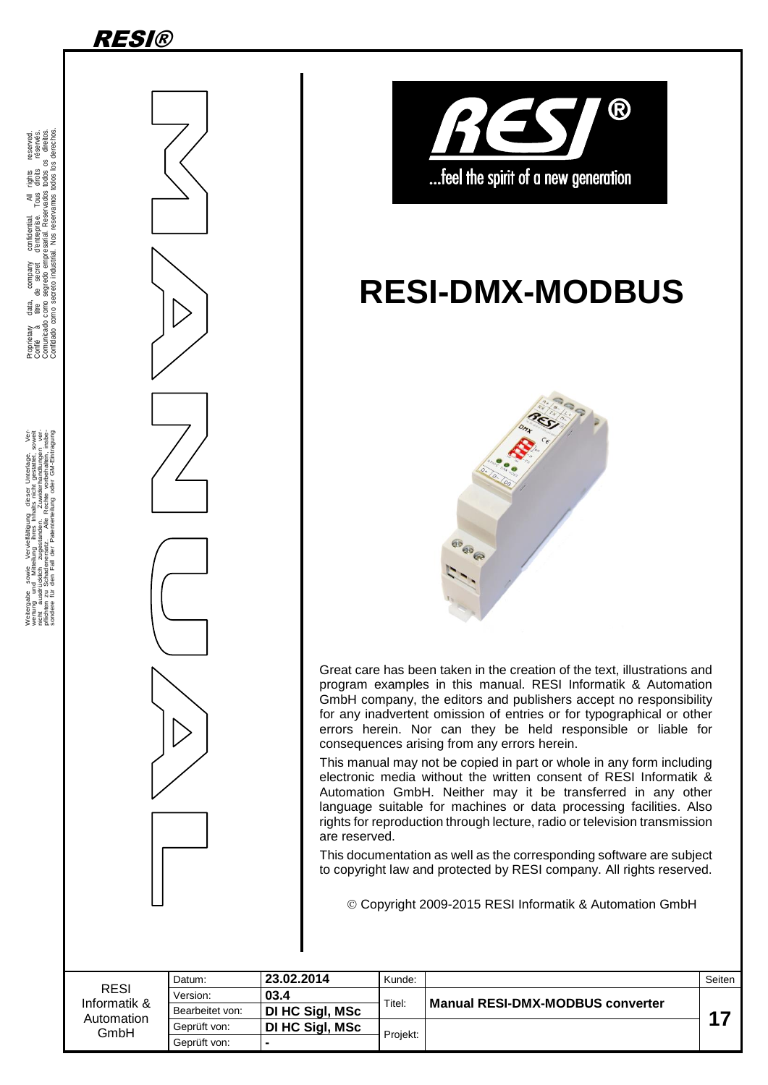

.

Weitergabe sowie Vervieliäligung dieser Unterlage. Vervieling von Statten dieser Unterlage. Vervieling von Statten verwalt die Statten von Statten von Statten von Statten von Statten von Statten von Statten von Statten von





# **RESI-DMX-MODBUS**



Great care has been taken in the creation of the text, illustrations and program examples in this manual. RESI Informatik & Automation GmbH company, the editors and publishers accept no responsibility for any inadvertent omission of entries or for typographical or other errors herein. Nor can they be held responsible or liable for consequences arising from any errors herein.

This manual may not be copied in part or whole in any form including electronic media without the written consent of RESI Informatik & Automation GmbH. Neither may it be transferred in any other language suitable for machines or data processing facilities. Also rights for reproduction through lecture, radio or television transmission are reserved.

This documentation as well as the corresponding software are subject to copyright law and protected by RESI company. All rights reserved.

Copyright 2009-2015 RESI Informatik & Automation GmbH

|                                                   | Datum:          | 23.02.2014      | Kunde:   |                                         | Seiten |
|---------------------------------------------------|-----------------|-----------------|----------|-----------------------------------------|--------|
| <b>RESI</b><br>Informatik &<br>Automation<br>GmbH | Version:        | 03.4            | Titel:   | <b>Manual RESI-DMX-MODBUS converter</b> |        |
|                                                   | Bearbeitet von: | DI HC Sigl, MSc |          |                                         | 47     |
|                                                   | Geprüft von:    | DI HC Sigl, MSc | Projekt: |                                         |        |
|                                                   | Geprüft von:    |                 |          |                                         |        |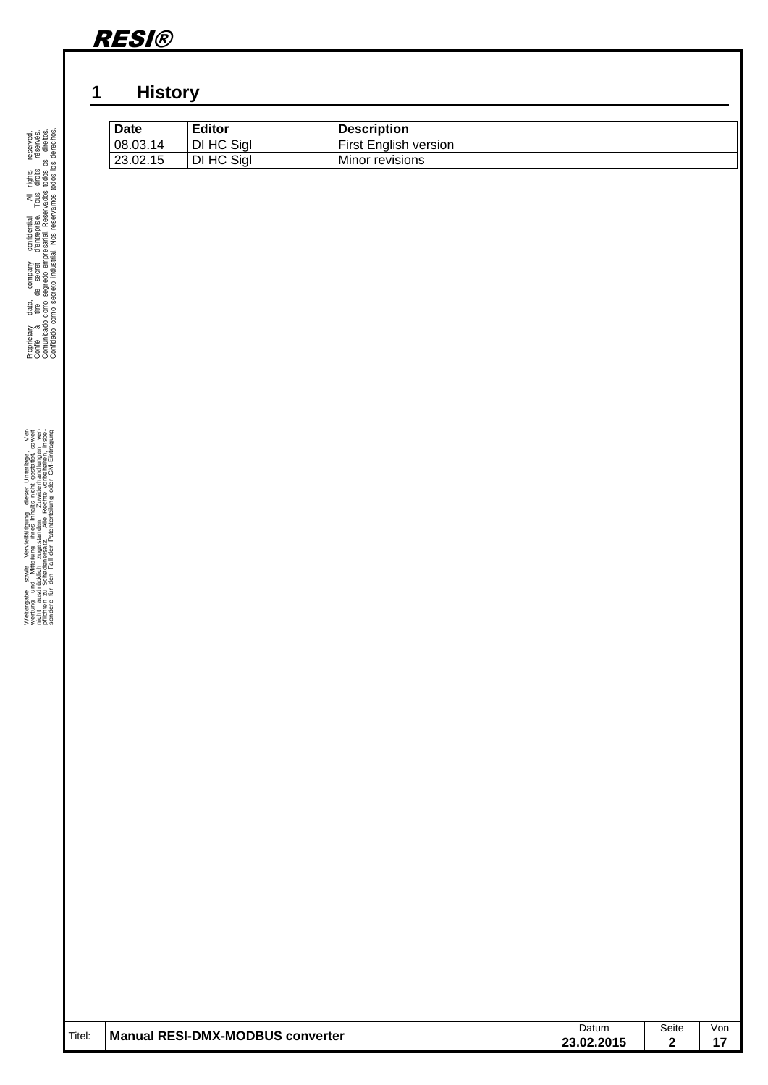

### <span id="page-1-0"></span>**1 History**

| <b>Date</b> | <b>Editor</b> | <b>Description</b>           |
|-------------|---------------|------------------------------|
| 08.03.14    | DI HC Sial    | <b>First English version</b> |
| 23.02.15    | DI HC Sigl    | Minor revisions              |

| Titel: | <b>Manual RESI-DMX-MODBUS converter</b> | Datum      | Seite        | Von |
|--------|-----------------------------------------|------------|--------------|-----|
|        |                                         | 23.02.2015 | $\mathbf{2}$ | 17  |
|        |                                         |            |              |     |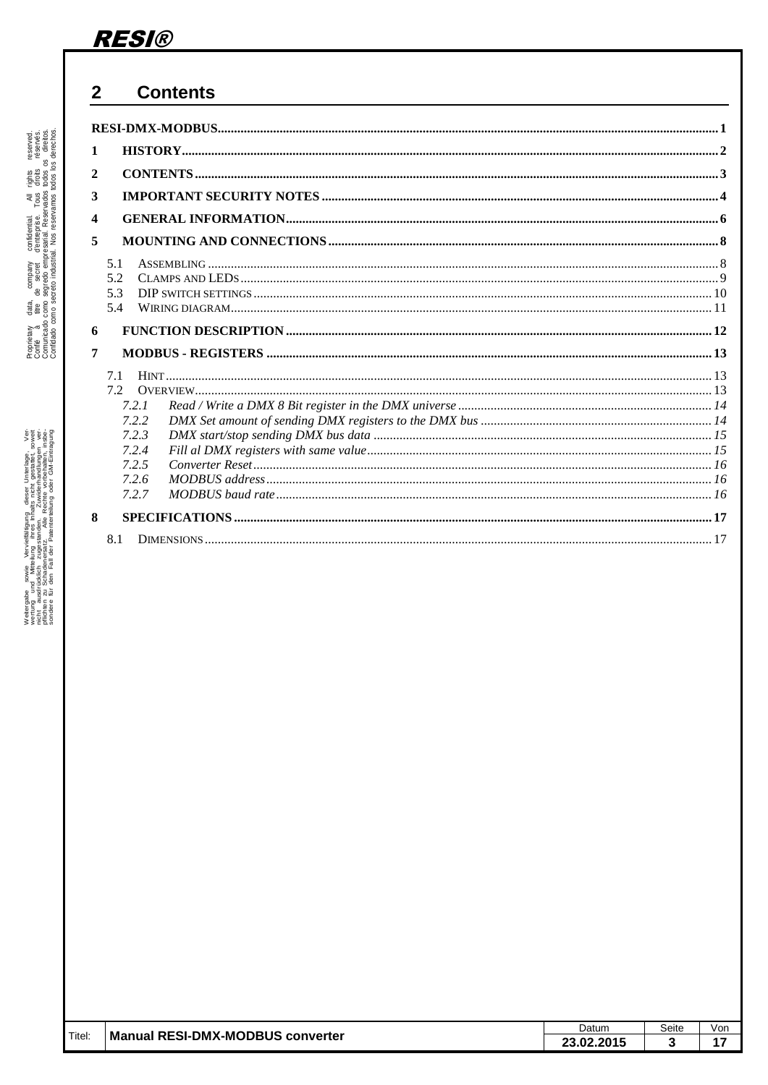#### <span id="page-2-0"></span> $\overline{2}$ **Contents**

| 1                       |       |  |
|-------------------------|-------|--|
| $\mathbf{2}$            |       |  |
|                         |       |  |
| 3                       |       |  |
| $\overline{\mathbf{4}}$ |       |  |
| 5                       |       |  |
|                         | 5.1   |  |
|                         | 5.2   |  |
|                         | 5.3   |  |
|                         | 5.4   |  |
| 6                       |       |  |
|                         |       |  |
| 7                       |       |  |
|                         | 7.1   |  |
|                         | 7.2   |  |
|                         | 7.2.1 |  |
|                         | 7.2.2 |  |
|                         | 7.2.3 |  |
|                         | 7.2.4 |  |
|                         | 7.2.5 |  |
|                         | 7.2.6 |  |
|                         | 7.2.7 |  |
| 8                       |       |  |
|                         | 8.1   |  |
|                         |       |  |

|        |                                         | Datum                           | Seite | Vor |
|--------|-----------------------------------------|---------------------------------|-------|-----|
| Titel: | <b>Manual RESI-DMX-MODBUS converter</b> | .2.201 <sup>r</sup><br>ົ<br>nn. |       |     |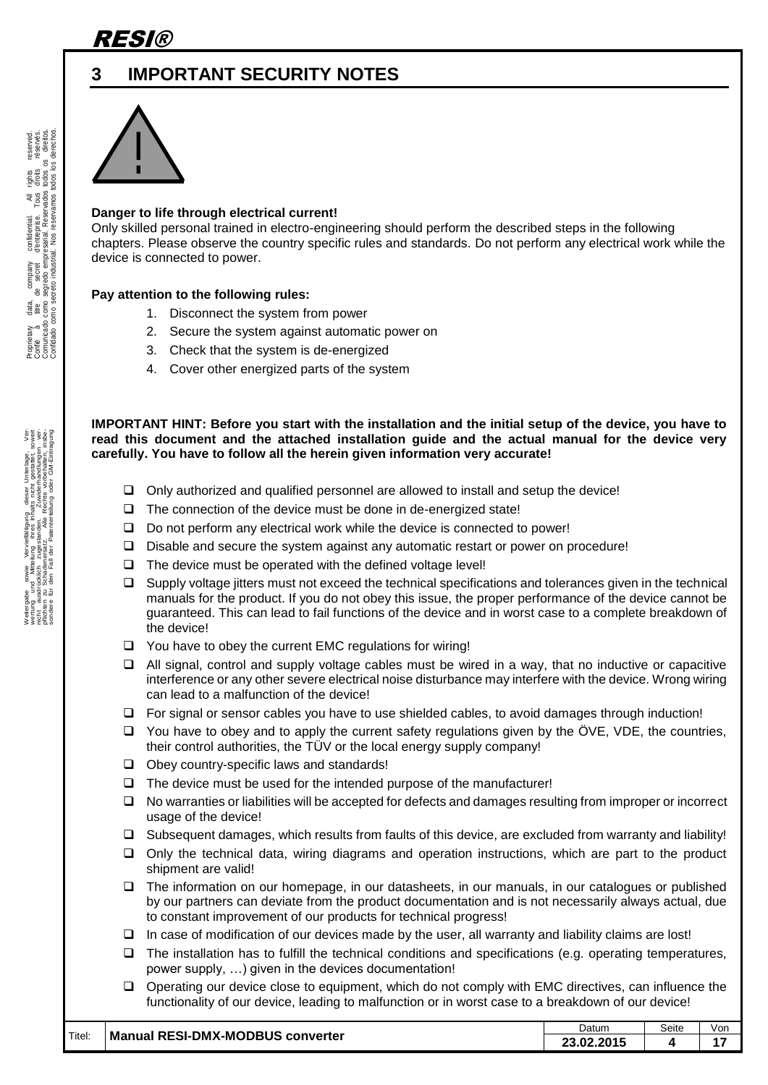

### <span id="page-3-0"></span>**3 IMPORTANT SECURITY NOTES**



#### **Danger to life through electrical current!**

Only skilled personal trained in electro-engineering should perform the described steps in the following chapters. Please observe the country specific rules and standards. Do not perform any electrical work while the device is connected to power.

#### **Pay attention to the following rules:**

- 1. Disconnect the system from power
- 2. Secure the system against automatic power on
- 3. Check that the system is de-energized
- 4. Cover other energized parts of the system

**IMPORTANT HINT: Before you start with the installation and the initial setup of the device, you have to read this document and the attached installation guide and the actual manual for the device very carefully. You have to follow all the herein given information very accurate!**

- $\Box$  Only authorized and qualified personnel are allowed to install and setup the device!
- $\Box$  The connection of the device must be done in de-energized state!
- $\Box$  Do not perform any electrical work while the device is connected to power!
- $\Box$  Disable and secure the system against any automatic restart or power on procedure!
- $\Box$  The device must be operated with the defined voltage level!
- □ Supply voltage jitters must not exceed the technical specifications and tolerances given in the technical manuals for the product. If you do not obey this issue, the proper performance of the device cannot be guaranteed. This can lead to fail functions of the device and in worst case to a complete breakdown of the device!
- $\Box$  You have to obey the current EMC regulations for wiring!
- $\Box$  All signal, control and supply voltage cables must be wired in a way, that no inductive or capacitive interference or any other severe electrical noise disturbance may interfere with the device. Wrong wiring can lead to a malfunction of the device!
- $\Box$  For signal or sensor cables you have to use shielded cables, to avoid damages through induction!
- $\Box$  You have to obey and to apply the current safety regulations given by the ÖVE, VDE, the countries, their control authorities, the TÜV or the local energy supply company!
- $\Box$  Obey country-specific laws and standards!
- $\Box$  The device must be used for the intended purpose of the manufacturer!
- $\Box$  No warranties or liabilities will be accepted for defects and damages resulting from improper or incorrect usage of the device!
- $\Box$  Subsequent damages, which results from faults of this device, are excluded from warranty and liability!
- $\Box$  Only the technical data, wiring diagrams and operation instructions, which are part to the product shipment are valid!
- The information on our homepage, in our datasheets, in our manuals, in our catalogues or published by our partners can deviate from the product documentation and is not necessarily always actual, due to constant improvement of our products for technical progress!
- $\Box$  In case of modification of our devices made by the user, all warranty and liability claims are lost!
- $\Box$  The installation has to fulfill the technical conditions and specifications (e.g. operating temperatures, power supply, …) given in the devices documentation!
- Operating our device close to equipment, which do not comply with EMC directives, can influence the functionality of our device, leading to malfunction or in worst case to a breakdown of our device!

|        |                                  | Datum      | Seite | Von |
|--------|----------------------------------|------------|-------|-----|
| Titel: | Manual RESI-DMX-MODBUS converter | 23.02.2015 |       |     |

gabe sowie Vervieläligung deser Unterlage. Verviel aus der Statten der Statten der Statten der Statten der Sta<br>Bauer auf der Statten zugestanden. In Zuwierfrandlungen verviel zu der Statten der Statten der Statten der St<br>B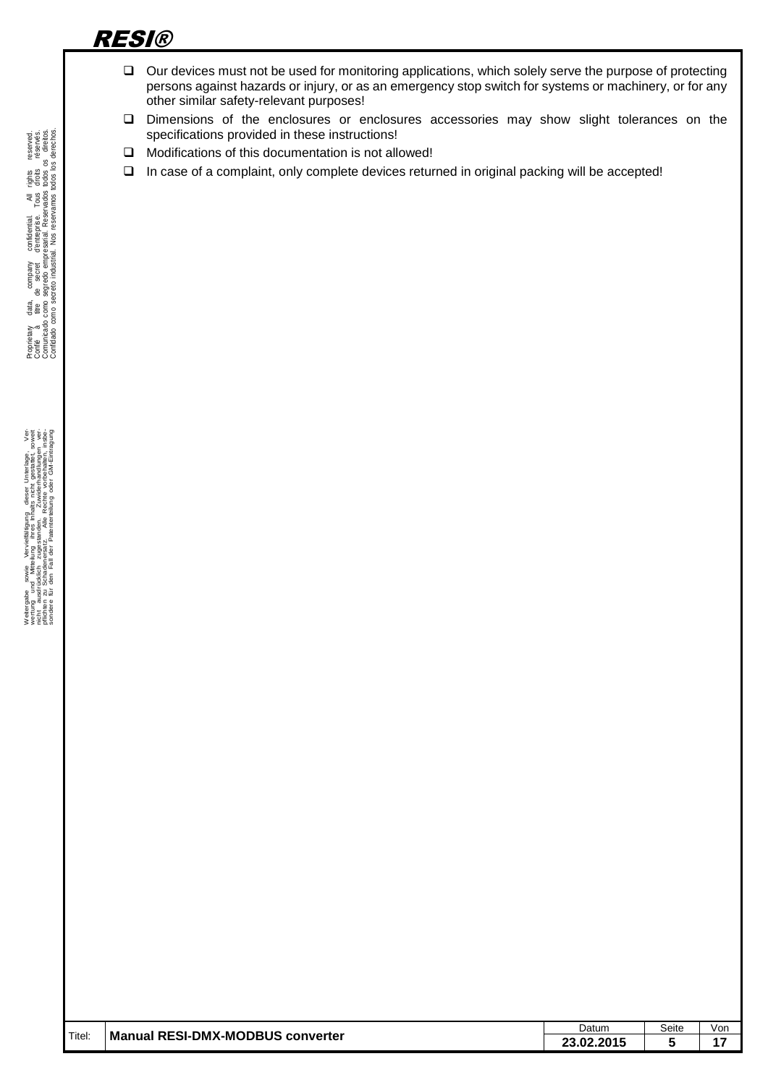- $\Box$  Our devices must not be used for monitoring applications, which solely serve the purpose of protecting persons against hazards or injury, or as an emergency stop switch for systems or machinery, or for any other similar safety-relevant purposes!
- Dimensions of the enclosures or enclosures accessories may show slight tolerances on the specifications provided in these instructions!
- $\Box$  Modifications of this documentation is not allowed!
- In case of a complaint, only complete devices returned in original packing will be accepted!

|        |                                         | Datum      | Seite | Von |
|--------|-----------------------------------------|------------|-------|-----|
| Titel: | <b>Manual RESI-DMX-MODBUS converter</b> | 23.02.2015 | 5     | 17  |
|        |                                         |            |       |     |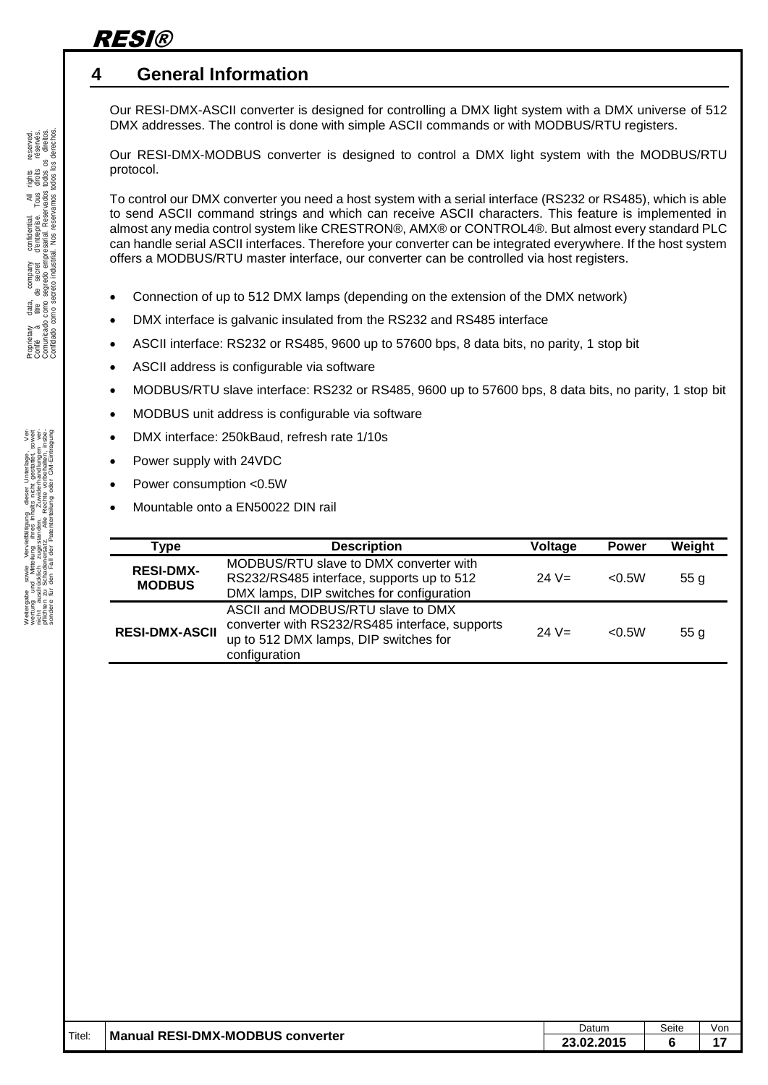### <span id="page-5-0"></span>**4 General Information**

Our RESI-DMX-ASCII converter is designed for controlling a DMX light system with a DMX universe of 512 DMX addresses. The control is done with simple ASCII commands or with MODBUS/RTU registers.

Our RESI-DMX-MODBUS converter is designed to control a DMX light system with the MODBUS/RTU protocol.

To control our DMX converter you need a host system with a serial interface (RS232 or RS485), which is able to send ASCII command strings and which can receive ASCII characters. This feature is implemented in almost any media control system like CRESTRON®, AMX® or CONTROL4®. But almost every standard PLC can handle serial ASCII interfaces. Therefore your converter can be integrated everywhere. If the host system offers a MODBUS/RTU master interface, our converter can be controlled via host registers.

- Connection of up to 512 DMX lamps (depending on the extension of the DMX network)
- DMX interface is galvanic insulated from the RS232 and RS485 interface
- ASCII interface: RS232 or RS485, 9600 up to 57600 bps, 8 data bits, no parity, 1 stop bit
- ASCII address is configurable via software
- MODBUS/RTU slave interface: RS232 or RS485, 9600 up to 57600 bps, 8 data bits, no parity, 1 stop bit
- MODBUS unit address is configurable via software
- DMX interface: 250kBaud, refresh rate 1/10s
- Power supply with 24VDC
- Power consumption <0.5W
- Mountable onto a EN50022 DIN rail

| Type                              | <b>Description</b>                                                                                                                            | Voltage  | <b>Power</b> | Weight          |
|-----------------------------------|-----------------------------------------------------------------------------------------------------------------------------------------------|----------|--------------|-----------------|
| <b>RESI-DMX-</b><br><b>MODBUS</b> | MODBUS/RTU slave to DMX converter with<br>RS232/RS485 interface, supports up to 512<br>DMX lamps, DIP switches for configuration              | 24 $V =$ | < 0.5W       | 55 g            |
| <b>RESI-DMX-ASCII</b>             | ASCII and MODBUS/RTU slave to DMX<br>converter with RS232/RS485 interface, supports<br>up to 512 DMX lamps, DIP switches for<br>configuration | 24 $V =$ | < 0.5W       | 55 <sub>g</sub> |

|        |                                  | Datum      | Seite | vor |
|--------|----------------------------------|------------|-------|-----|
| Titel: | Manual RESI-DMX-MODBUS converter | 23.02.2015 |       |     |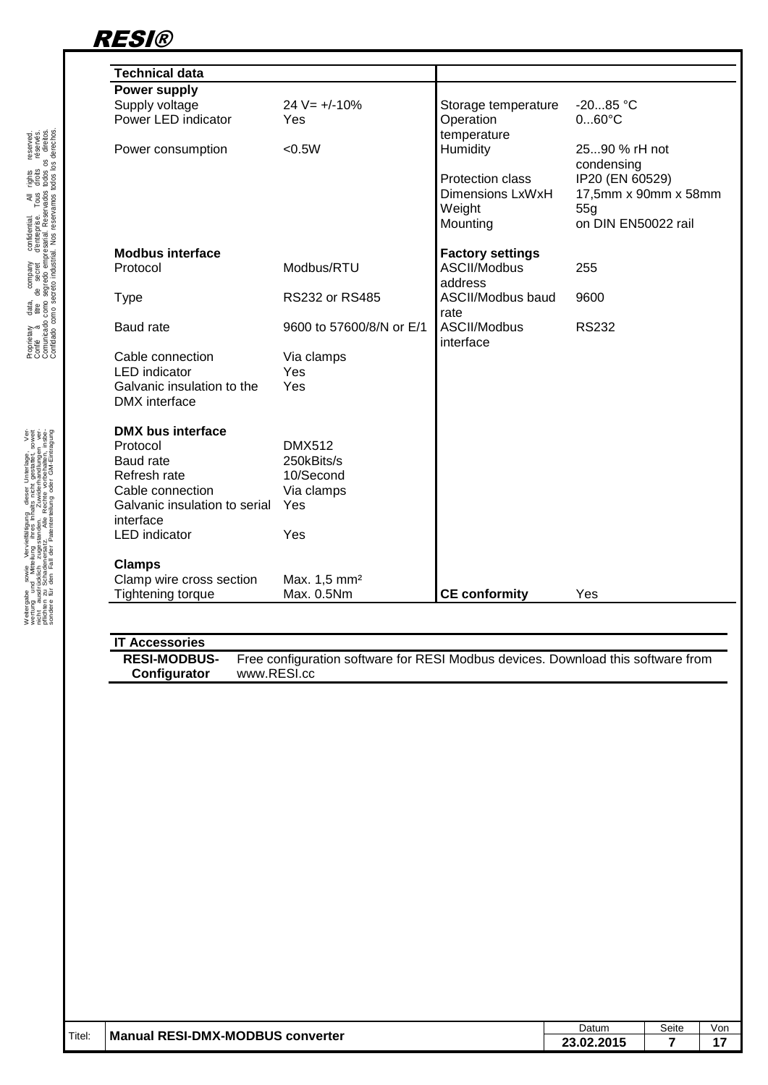

| <b>Technical data</b>         |                          |                         |                      |
|-------------------------------|--------------------------|-------------------------|----------------------|
| Power supply                  |                          |                         |                      |
| Supply voltage                | $24 V = +/-10%$          | Storage temperature     | $-2085 °C$           |
| Power LED indicator           | Yes                      | Operation               | $060^{\circ}$ C      |
|                               |                          | temperature             |                      |
| Power consumption             | < 0.5W                   | Humidity                | 2590 % rH not        |
|                               |                          |                         | condensing           |
|                               |                          | <b>Protection class</b> | IP20 (EN 60529)      |
|                               |                          | Dimensions LxWxH        | 17,5mm x 90mm x 58mm |
|                               |                          | Weight                  | 55q                  |
|                               |                          | Mounting                | on DIN EN50022 rail  |
| <b>Modbus interface</b>       |                          | <b>Factory settings</b> |                      |
| Protocol                      | Modbus/RTU               | ASCII/Modbus            | 255                  |
|                               |                          | address                 |                      |
| <b>Type</b>                   | <b>RS232 or RS485</b>    | ASCII/Modbus baud       | 9600                 |
|                               |                          | rate                    |                      |
| Baud rate                     | 9600 to 57600/8/N or E/1 | ASCII/Modbus            | <b>RS232</b>         |
|                               |                          | interface               |                      |
| Cable connection              | Via clamps               |                         |                      |
| <b>LED</b> indicator          | Yes                      |                         |                      |
| Galvanic insulation to the    | Yes                      |                         |                      |
| DMX interface                 |                          |                         |                      |
| <b>DMX bus interface</b>      |                          |                         |                      |
| Protocol                      | <b>DMX512</b>            |                         |                      |
| <b>Baud</b> rate              | 250kBits/s               |                         |                      |
| Refresh rate                  | 10/Second                |                         |                      |
| Cable connection              | Via clamps               |                         |                      |
| Galvanic insulation to serial | Yes                      |                         |                      |
| interface                     |                          |                         |                      |
| <b>LED</b> indicator          | Yes                      |                         |                      |
| <b>Clamps</b>                 |                          |                         |                      |
| Clamp wire cross section      | Max. 1,5 mm <sup>2</sup> |                         |                      |
| <b>Tightening torque</b>      | Max. 0.5Nm               | <b>CE conformity</b>    | Yes                  |

#### **IT Accessories RESI-MODBUS-Configurator** Free configuration software for RESI Modbus devices. Download this software from www.RESI.cc

|        |                                  | Datum      | Seite | Vor |
|--------|----------------------------------|------------|-------|-----|
| Titel: | Manual RESI-DMX-MODBUS converter | 23.02.2015 |       |     |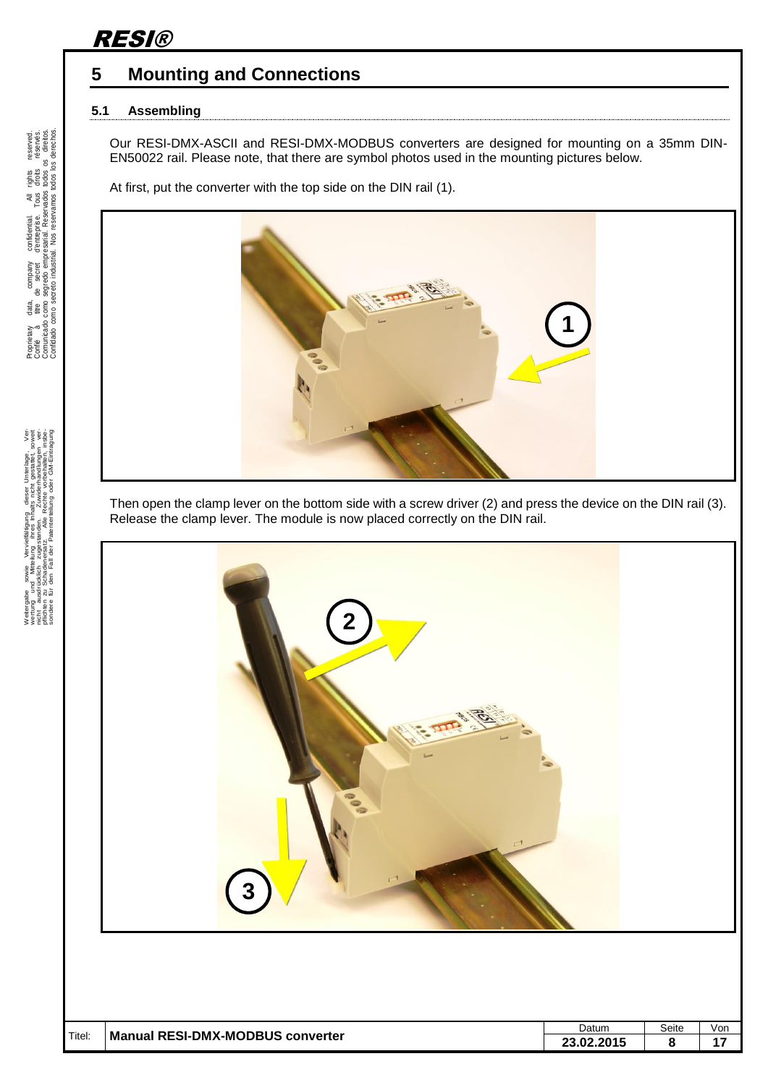### <span id="page-7-0"></span>**5 Mounting and Connections**

#### <span id="page-7-1"></span>**5.1 Assembling**

Our RESI-DMX-ASCII and RESI-DMX-MODBUS converters are designed for mounting on a 35mm DIN-EN50022 rail. Please note, that there are symbol photos used in the mounting pictures below.

At first, put the converter with the top side on the DIN rail (1).



Then open the clamp lever on the bottom side with a screw driver (2) and press the device on the DIN rail (3). Release the clamp lever. The module is now placed correctly on the DIN rail.



. Proprietary data, company confidential. All rights reserved. Confié à titre de secret d'entreprise. Tous droits réservés. Comunicado como segredo empresarial. Reservados todos os direitos. Confidado como secreto industrial. Nos reservamos todos los derechos.

Weiergabe sowie Vervieliäligung diese Unterlage, Vervieliäligung diese Unterlage, Vervieliäligung diese Unterlage, Vervieliäligung diese Vervieligung vervieligung vervieligung vervieligung vervieligung vervieligung verviel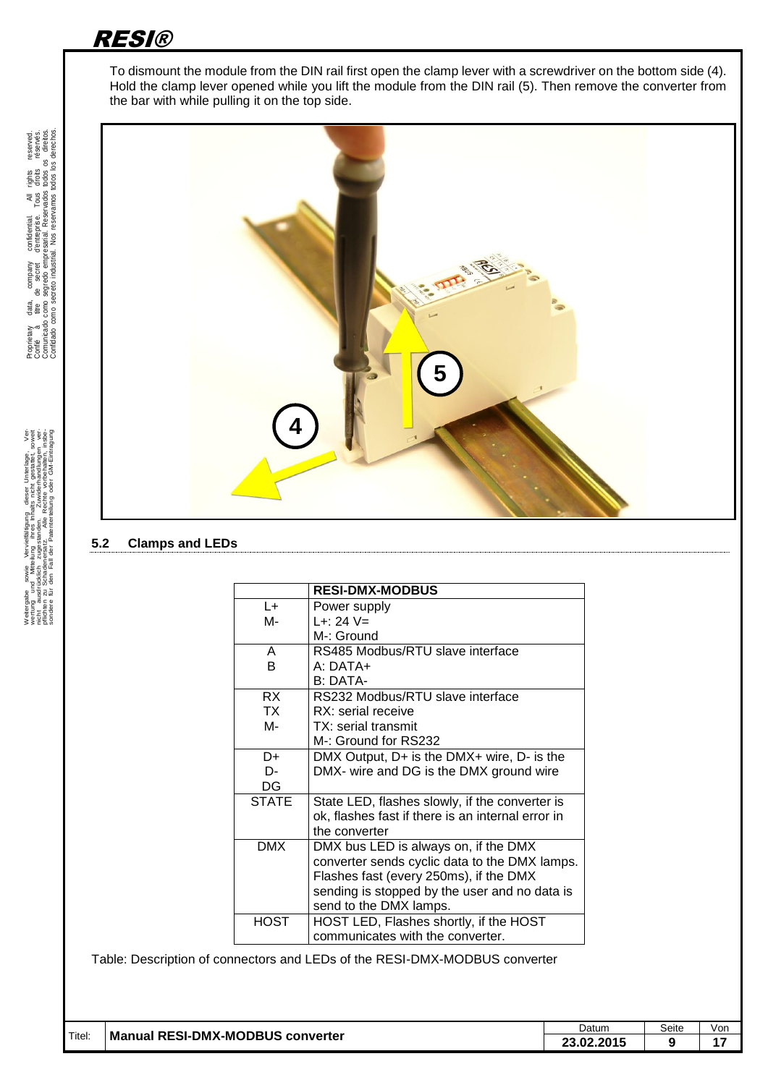To dismount the module from the DIN rail first open the clamp lever with a screwdriver on the bottom side (4). Hold the clamp lever opened while you lift the module from the DIN rail (5). Then remove the converter from the bar with while pulling it on the top side.



#### <span id="page-8-0"></span>**5.2 Clamps and LEDs**

|              | <b>RESI-DMX-MODBUS</b>                            |
|--------------|---------------------------------------------------|
| L+           | Power supply                                      |
| М-           | $L + 24 V =$                                      |
|              | M-: Ground                                        |
| A            | RS485 Modbus/RTU slave interface                  |
| B            | $A \cdot DATA+$                                   |
|              | B: DATA-                                          |
| RX.          | RS232 Modbus/RTU slave interface                  |
| TX           | RX: serial receive                                |
| M-           | TX: serial transmit                               |
|              | M-: Ground for RS232                              |
| D+           | DMX Output, D+ is the DMX+ wire, D- is the        |
| D-           | DMX- wire and DG is the DMX ground wire           |
| DG           |                                                   |
| <b>STATE</b> | State LED, flashes slowly, if the converter is    |
|              | ok, flashes fast if there is an internal error in |
|              | the converter                                     |
| <b>DMX</b>   | DMX bus LED is always on, if the DMX              |
|              | converter sends cyclic data to the DMX lamps.     |
|              | Flashes fast (every 250ms), if the DMX            |
|              | sending is stopped by the user and no data is     |
|              | send to the DMX lamps.                            |
| <b>HOST</b>  | HOST LED, Flashes shortly, if the HOST            |
|              | communicates with the converter.                  |

Table: Description of connectors and LEDs of the RESI-DMX-MODBUS converter

|        |                                         | Datum                          | Seite | Vor. |
|--------|-----------------------------------------|--------------------------------|-------|------|
| Titel: | <b>Manual RESI-DMX-MODBUS converter</b> | 201F<br>ΩΩ<br>LJ.UL.ZU.<br>. . |       | . .  |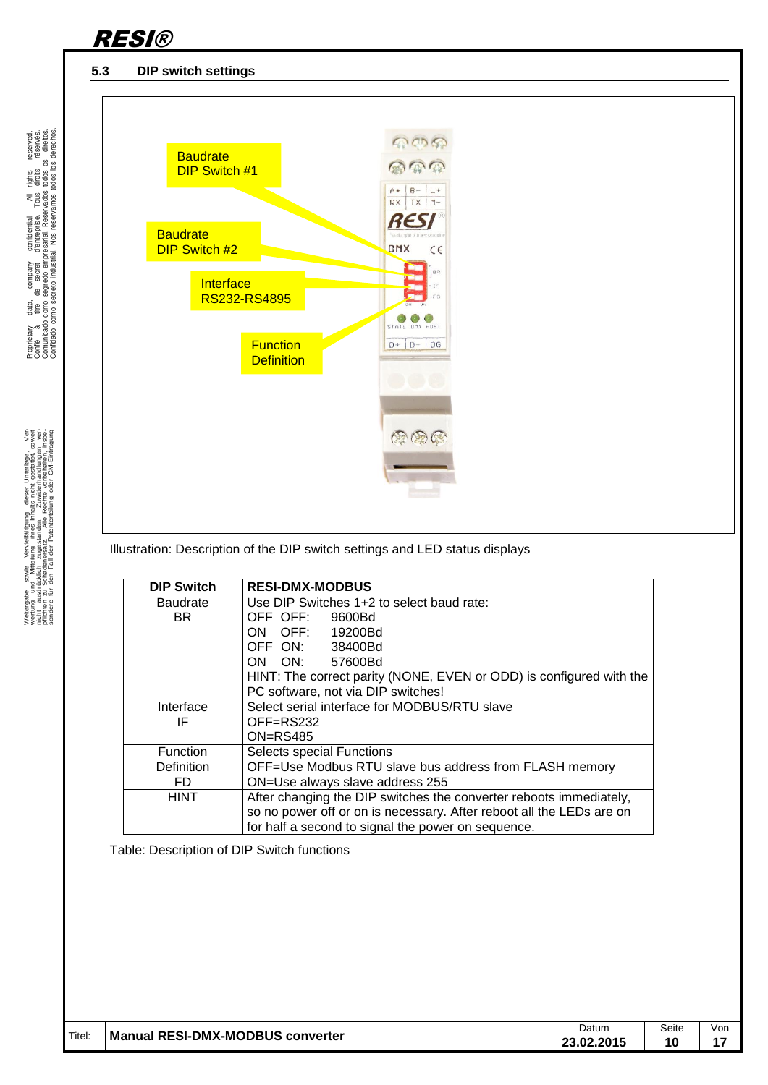

#### <span id="page-9-0"></span>**5.3 DIP switch settings**

.

Weitergabe sowie Vervieltältigung deser Unterlage. Vervielt auf der Statten der Statten der Statten der Statten<br>Mehr aus die Kohner zuger der Antibekte in der Australien von der Antibekte der Statten der Statten der Statt<br>



Illustration: Description of the DIP switch settings and LED status displays

| <b>DIP Switch</b> | <b>RESI-DMX-MODBUS</b>                                               |  |  |  |  |  |
|-------------------|----------------------------------------------------------------------|--|--|--|--|--|
| <b>Baudrate</b>   | Use DIP Switches 1+2 to select baud rate:                            |  |  |  |  |  |
| BR.               | OFF OFF:<br>9600Bd                                                   |  |  |  |  |  |
|                   | ON OFF: 19200Bd                                                      |  |  |  |  |  |
|                   | OFF ON: 38400Bd                                                      |  |  |  |  |  |
|                   | ON ON: 57600Bd                                                       |  |  |  |  |  |
|                   | HINT: The correct parity (NONE, EVEN or ODD) is configured with the  |  |  |  |  |  |
|                   | PC software, not via DIP switches!                                   |  |  |  |  |  |
| Interface         | Select serial interface for MODBUS/RTU slave                         |  |  |  |  |  |
| IF                | OFF=RS232                                                            |  |  |  |  |  |
|                   | $ON = RS485$                                                         |  |  |  |  |  |
| <b>Function</b>   | Selects special Functions                                            |  |  |  |  |  |
| <b>Definition</b> | OFF=Use Modbus RTU slave bus address from FLASH memory               |  |  |  |  |  |
| FD                | ON=Use always slave address 255                                      |  |  |  |  |  |
| <b>HINT</b>       | After changing the DIP switches the converter reboots immediately,   |  |  |  |  |  |
|                   | so no power off or on is necessary. After reboot all the LEDs are on |  |  |  |  |  |
|                   | for half a second to signal the power on sequence.                   |  |  |  |  |  |

Table: Description of DIP Switch functions

| Titel: |                                              | Datum      | Seite | Von            |
|--------|----------------------------------------------|------------|-------|----------------|
|        | <b>Manual RESI-DMX-MODBUS</b><br>، converter | ∠3.02.2015 |       | $\overline{a}$ |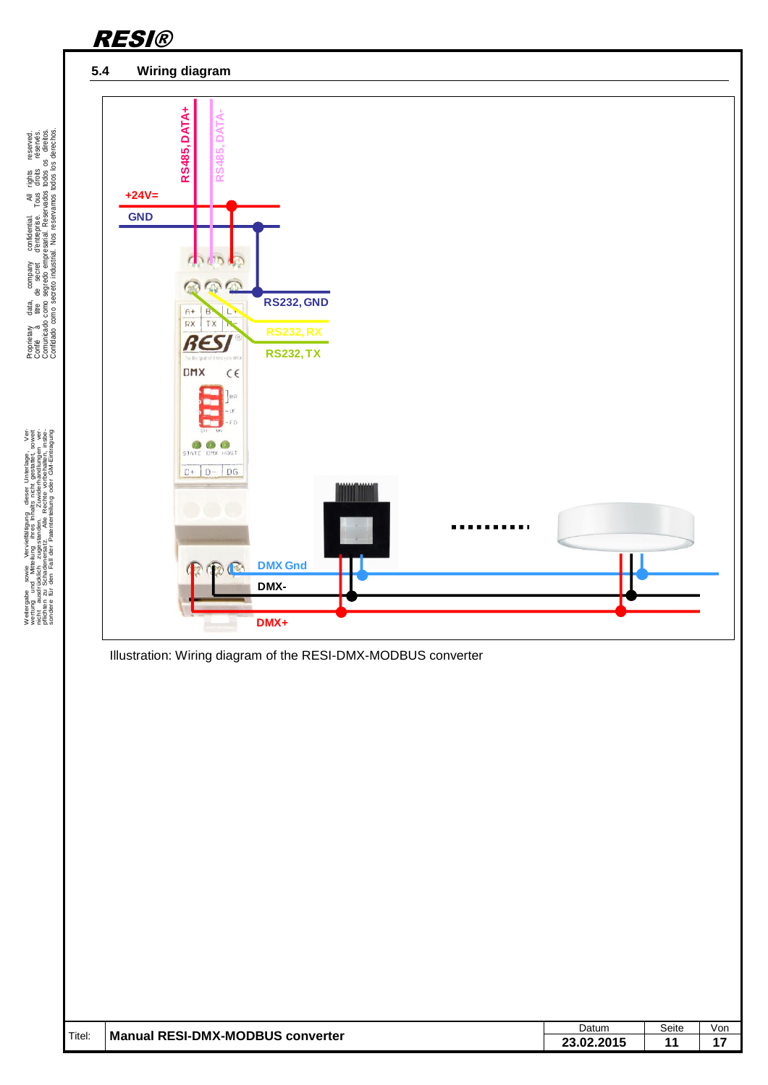<span id="page-10-0"></span>

Proprietary data, company confidential. All rights reserved. Confié à titre de secret d'entreprise. Tous droits réservés. Comunicado como segredo empresarial. Reservados todos os direitos. Confidado como secreto industrial. Nos reservamos todos los derechos.

.

Weitergabe sowie Vervieltältigung dieser Unterlage. Vervieltägung dieser Unterlage. Vervieltäge Vervieltäge Statten vervieltägen vervieltägen vervieltägen vervieltägen vervieltägen vervieltägen vervieltägen vervieltägen ve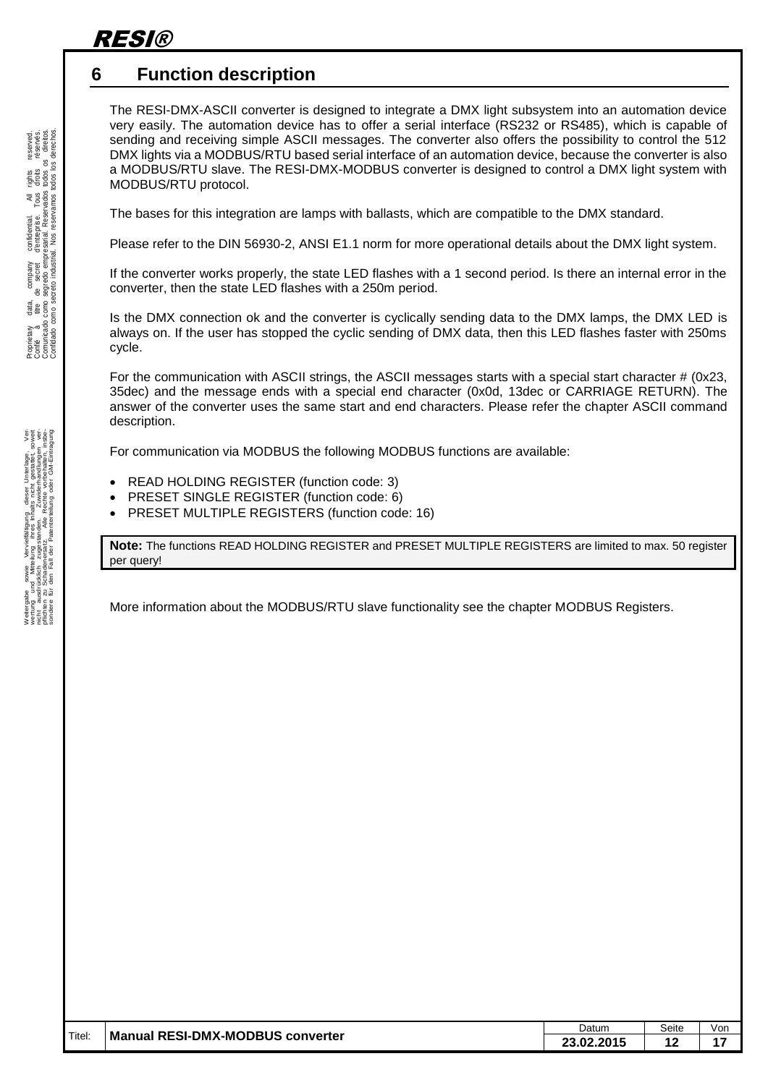### <span id="page-11-0"></span>**6 Function description**

The RESI-DMX-ASCII converter is designed to integrate a DMX light subsystem into an automation device very easily. The automation device has to offer a serial interface (RS232 or RS485), which is capable of sending and receiving simple ASCII messages. The converter also offers the possibility to control the 512 DMX lights via a MODBUS/RTU based serial interface of an automation device, because the converter is also a MODBUS/RTU slave. The RESI-DMX-MODBUS converter is designed to control a DMX light system with MODBUS/RTU protocol.

The bases for this integration are lamps with ballasts, which are compatible to the DMX standard.

Please refer to the DIN 56930-2, ANSI E1.1 norm for more operational details about the DMX light system.

If the converter works properly, the state LED flashes with a 1 second period. Is there an internal error in the converter, then the state LED flashes with a 250m period.

Is the DMX connection ok and the converter is cyclically sending data to the DMX lamps, the DMX LED is always on. If the user has stopped the cyclic sending of DMX data, then this LED flashes faster with 250ms cycle.

For the communication with ASCII strings, the ASCII messages starts with a special start character # (0x23, 35dec) and the message ends with a special end character (0x0d, 13dec or CARRIAGE RETURN). The answer of the converter uses the same start and end characters. Please refer the chapter ASCII command description.

For communication via MODBUS the following MODBUS functions are available:

- READ HOLDING REGISTER (function code: 3)
- PRESET SINGLE REGISTER (function code: 6)
- PRESET MULTIPLE REGISTERS (function code: 16)

**Note:** The functions READ HOLDING REGISTER and PRESET MULTIPLE REGISTERS are limited to max. 50 register per query!

More information about the MODBUS/RTU slave functionality see the chapter MODBUS Registers.

|        |                                  | Datum                 | Seite    | . Von |
|--------|----------------------------------|-----------------------|----------|-------|
| Titel: | Manual RESI-DMX-MODBUS converter | .JZ.ZU I <sup>-</sup> | €<br>. . | . .   |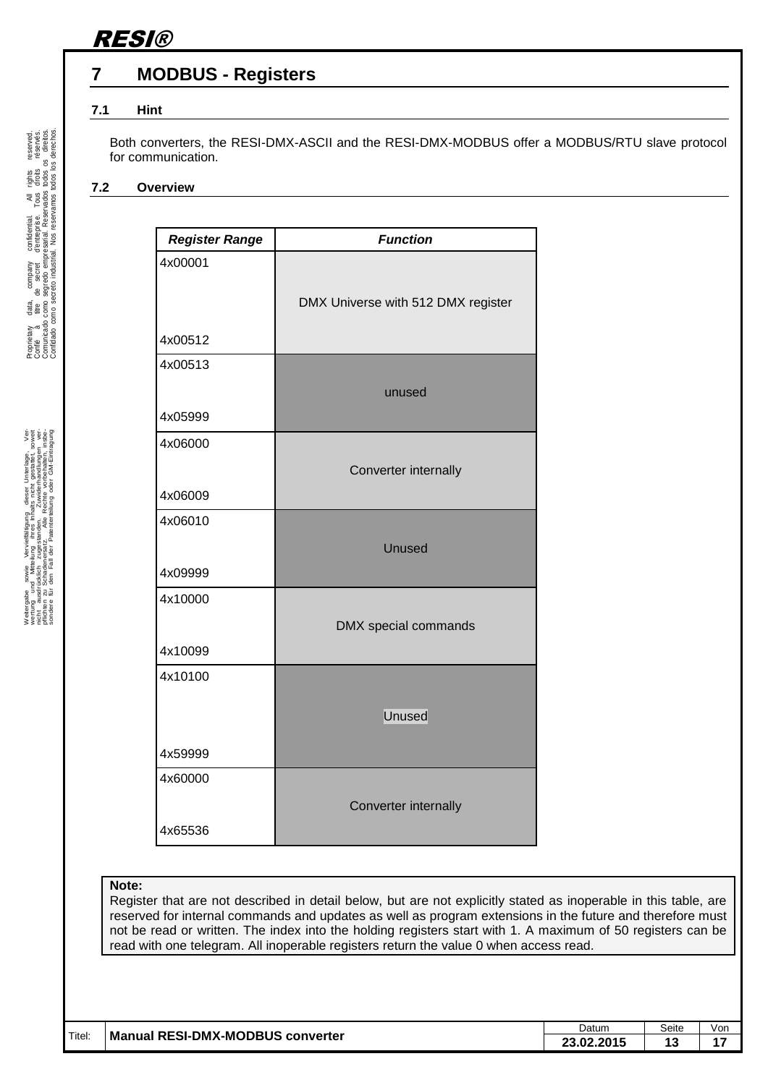### <span id="page-12-0"></span>**7 MODBUS - Registers**

#### <span id="page-12-1"></span>**7.1 Hint**

Both converters, the RESI-DMX-ASCII and the RESI-DMX-MODBUS offer a MODBUS/RTU slave protocol for communication.

#### <span id="page-12-2"></span>**7.2 Overview**

| <b>Register Range</b> | <b>Function</b>                    |
|-----------------------|------------------------------------|
| 4x00001               |                                    |
|                       | DMX Universe with 512 DMX register |
|                       |                                    |
| 4x00512               |                                    |
| 4x00513               |                                    |
|                       | unused                             |
| 4x05999               |                                    |
| 4x06000               |                                    |
|                       | Converter internally               |
| 4x06009               |                                    |
| 4x06010               |                                    |
|                       | <b>Unused</b>                      |
| 4x09999               |                                    |
| 4x10000               |                                    |
|                       | DMX special commands               |
| 4x10099               |                                    |
| 4x10100               |                                    |
|                       | Unused                             |
|                       |                                    |
| 4x59999               |                                    |
| 4x60000               |                                    |
|                       | Converter internally               |
| 4x65536               |                                    |

#### **Note:**

Register that are not described in detail below, but are not explicitly stated as inoperable in this table, are reserved for internal commands and updates as well as program extensions in the future and therefore must not be read or written. The index into the holding registers start with 1. A maximum of 50 registers can be read with one telegram. All inoperable registers return the value 0 when access read.

|        |                                  | Datum      | Seite | Vor |
|--------|----------------------------------|------------|-------|-----|
| Titel: | Manual RESI-DMX-MODBUS converter | 23.02.2015 | 1 V   |     |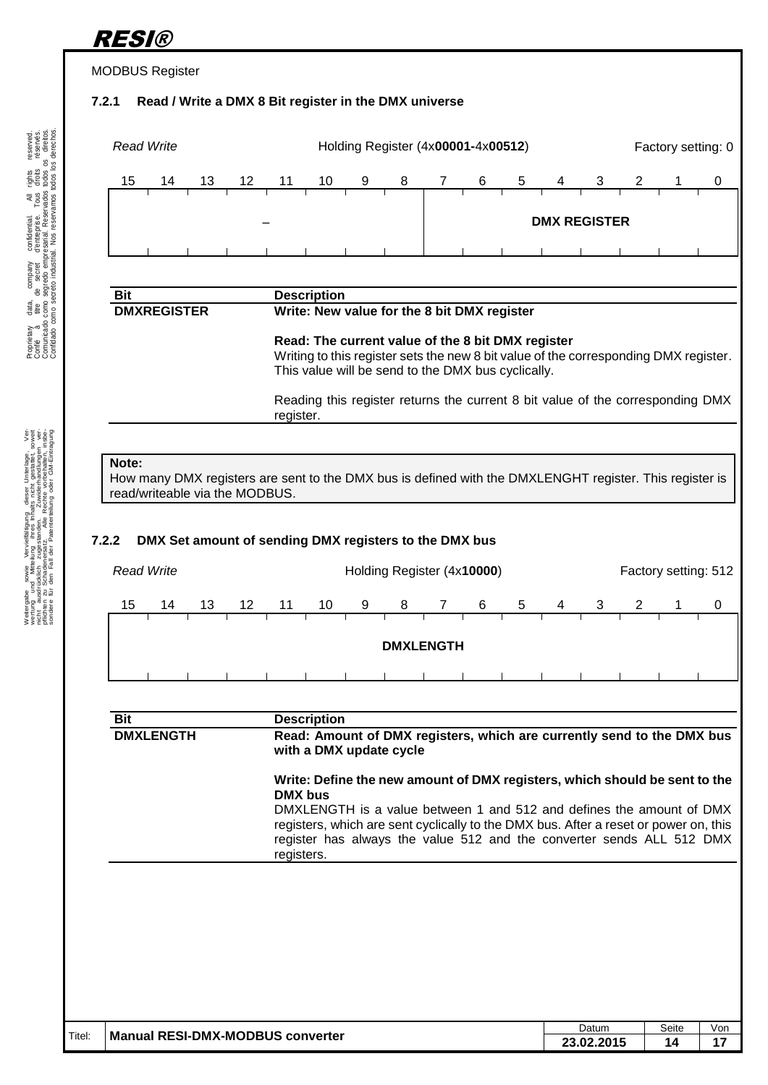## <span id="page-13-0"></span>RESI® MODBUS Register **7.2.1 Read / Write a DMX 8 Bit register in the DMX universe Read Write Holding Register (4x00001-4x00512)** Factory setting: 0 15 14 13 12 11 10 9 8 7 6 5 4 3 2 1 0 – **DMX REGISTER**  $\mathbf{u}$

#### **Bit Description DMXREGISTER Write: New value for the 8 bit DMX register**

**Read: The current value of the 8 bit DMX register** Writing to this register sets the new 8 bit value of the corresponding DMX register. This value will be send to the DMX bus cyclically.

Reading this register returns the current 8 bit value of the corresponding DMX register.

#### **Note:**

How many DMX registers are sent to the DMX bus is defined with the DMXLENGHT register. This register is read/writeable via the MODBUS.

#### <span id="page-13-1"></span>**7.2.2 DMX Set amount of sending DMX registers to the DMX bus**

|    | Holding Register (4x10000)<br><b>Read Write</b> |    |    |    |    |   |   |          |   | Factory setting: 512 |   |   |  |  |
|----|-------------------------------------------------|----|----|----|----|---|---|----------|---|----------------------|---|---|--|--|
| 15 | 14                                              | 13 | 12 | 11 | 10 | 9 | 8 | $\prime$ | 6 | 5                    | 4 | 3 |  |  |
|    |                                                 |    |    |    |    |   |   |          |   |                      |   |   |  |  |
|    | <b>DMXLENGTH</b>                                |    |    |    |    |   |   |          |   |                      |   |   |  |  |
|    |                                                 |    |    |    |    |   |   |          |   |                      |   |   |  |  |
|    |                                                 |    |    |    |    |   |   |          |   |                      |   |   |  |  |

| Bit              | <b>Description</b>                                                                                                                                                                                                                                  |
|------------------|-----------------------------------------------------------------------------------------------------------------------------------------------------------------------------------------------------------------------------------------------------|
| <b>DMXLENGTH</b> | Read: Amount of DMX registers, which are currently send to the DMX bus<br>with a DMX update cycle                                                                                                                                                   |
|                  | Write: Define the new amount of DMX registers, which should be sent to the<br>DMX bus                                                                                                                                                               |
|                  | DMXLENGTH is a value between 1 and 512 and defines the amount of DMX<br>registers, which are sent cyclically to the DMX bus. After a reset or power on, this<br>register has always the value 512 and the converter sends ALL 512 DMX<br>registers. |
|                  |                                                                                                                                                                                                                                                     |
|                  |                                                                                                                                                                                                                                                     |
|                  |                                                                                                                                                                                                                                                     |

|        |                                  | Datum      | Seite | Vor |
|--------|----------------------------------|------------|-------|-----|
| Titel: | Manual RESI-DMX-MODBUS converter | ∠3.02.2015 | л     |     |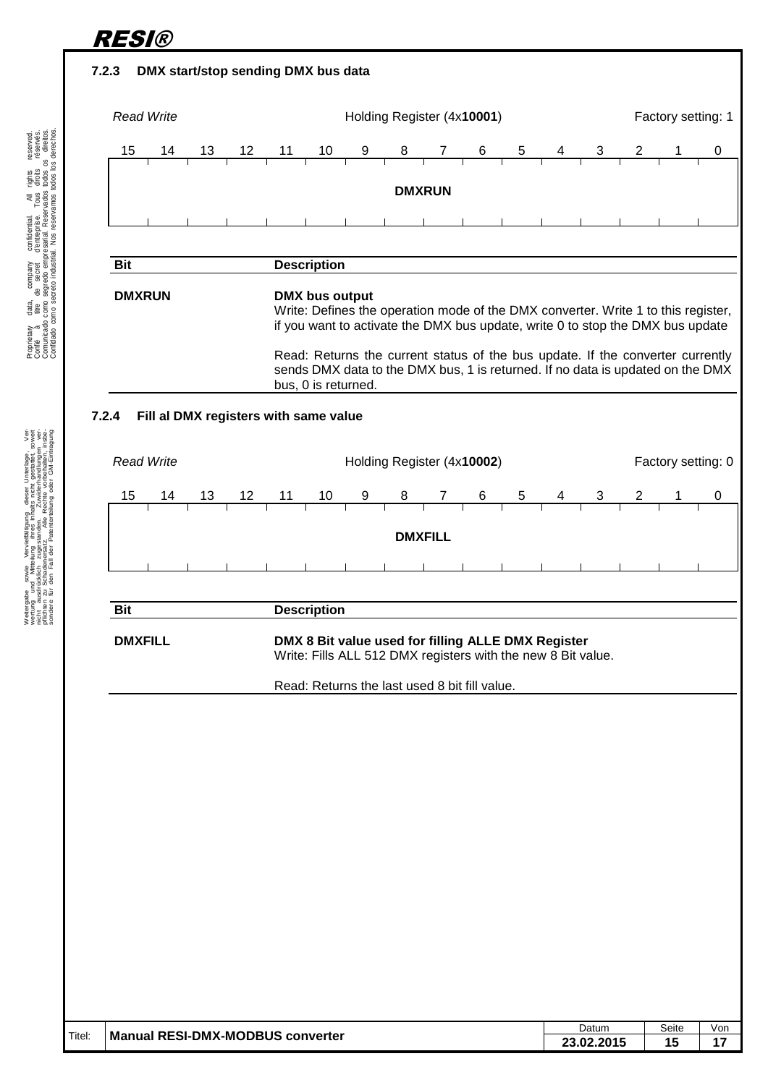<span id="page-14-1"></span><span id="page-14-0"></span>

**23.02.2015 15 17**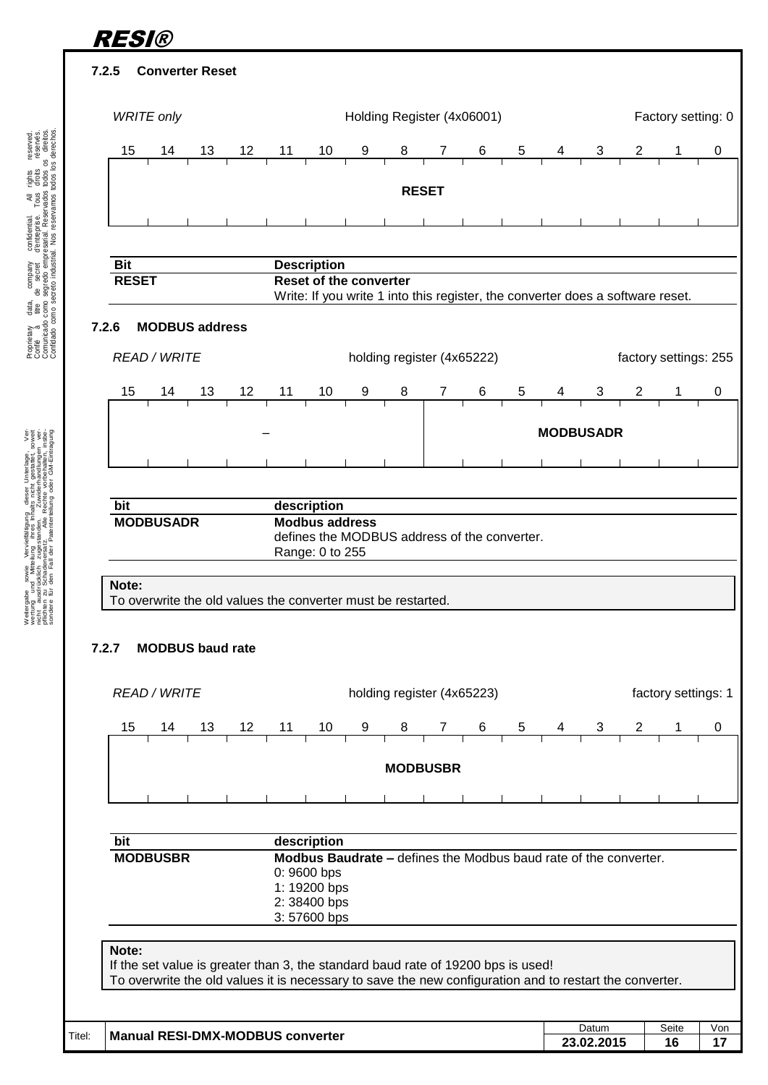<span id="page-15-0"></span>

<span id="page-15-1"></span>.

<span id="page-15-2"></span>Welergabe sowie Werwellstigung deser Unterlage,<br>incht ausdrückloh zugestenden, Zwieden der Ausdrücklonischen Australia<br>incht ausdrückloh zugestenden, Zwiedenfandlingen<br>sohoten zu Schaeleriesr z. exile Reiche vorbehalen,